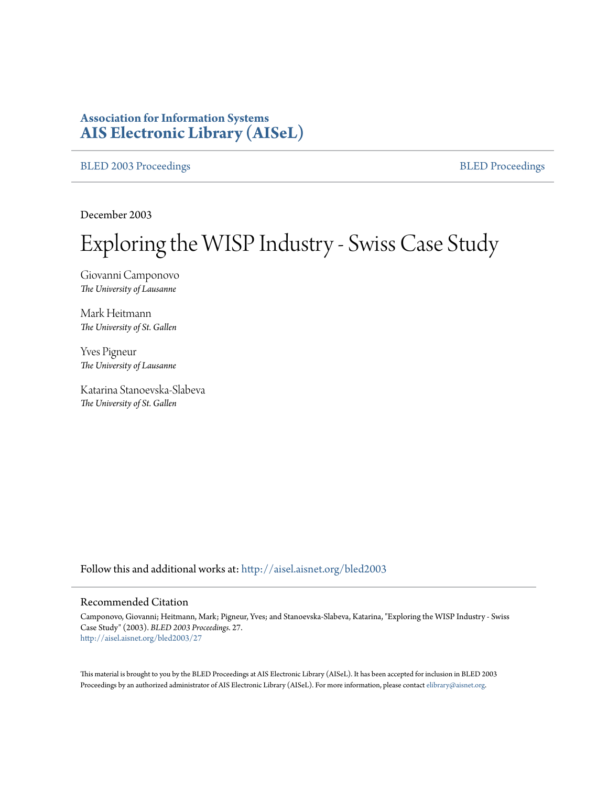# **Association for Information Systems [AIS Electronic Library \(AISeL\)](http://aisel.aisnet.org?utm_source=aisel.aisnet.org%2Fbled2003%2F27&utm_medium=PDF&utm_campaign=PDFCoverPages)**

[BLED 2003 Proceedings](http://aisel.aisnet.org/bled2003?utm_source=aisel.aisnet.org%2Fbled2003%2F27&utm_medium=PDF&utm_campaign=PDFCoverPages) and the state of the state of the [BLED Proceedings](http://aisel.aisnet.org/bled?utm_source=aisel.aisnet.org%2Fbled2003%2F27&utm_medium=PDF&utm_campaign=PDFCoverPages) and the BLED Proceedings and the BLED Proceedings and the BLED Proceedings and the BLED Proceedings and the BLED Proceedings and the BLED Proceedings

December 2003

# Exploring the WISP Industry - Swiss Case Study

Giovanni Camponovo *The University of Lausanne*

Mark Heitmann *The University of St. Gallen*

Yves Pigneur *The University of Lausanne*

Katarina Stanoevska-Slabeva *The University of St. Gallen*

Follow this and additional works at: [http://aisel.aisnet.org/bled2003](http://aisel.aisnet.org/bled2003?utm_source=aisel.aisnet.org%2Fbled2003%2F27&utm_medium=PDF&utm_campaign=PDFCoverPages)

#### Recommended Citation

Camponovo, Giovanni; Heitmann, Mark; Pigneur, Yves; and Stanoevska-Slabeva, Katarina, "Exploring the WISP Industry - Swiss Case Study" (2003). *BLED 2003 Proceedings*. 27. [http://aisel.aisnet.org/bled2003/27](http://aisel.aisnet.org/bled2003/27?utm_source=aisel.aisnet.org%2Fbled2003%2F27&utm_medium=PDF&utm_campaign=PDFCoverPages)

This material is brought to you by the BLED Proceedings at AIS Electronic Library (AISeL). It has been accepted for inclusion in BLED 2003 Proceedings by an authorized administrator of AIS Electronic Library (AISeL). For more information, please contact [elibrary@aisnet.org](mailto:elibrary@aisnet.org%3E).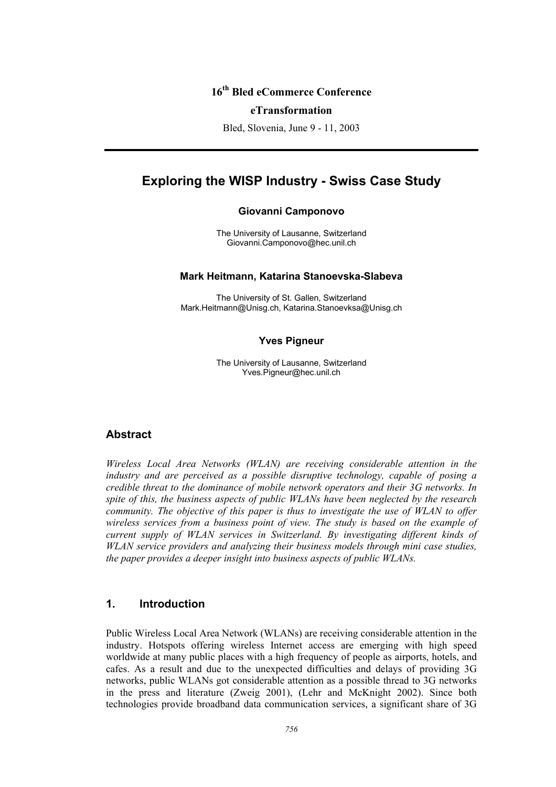# **16th Bled eCommerce Conference**

#### **eTransformation**

Bled, Slovenia, June 9 - 11, 2003

# **Exploring the WISP Industry - Swiss Case Study**

#### **Giovanni Camponovo**

The University of Lausanne, Switzerland Giovanni.Camponovo@hec.unil.ch

#### **Mark Heitmann, Katarina Stanoevska-Slabeva**

The University of St. Gallen, Switzerland Mark.Heitmann@Unisg.ch, Katarina.Stanoevksa@Unisg.ch

#### **Yves Pigneur**

The University of Lausanne, Switzerland Yves.Pigneur@hec.unil.ch

## **Abstract**

*Wireless Local Area Networks (WLAN) are receiving considerable attention in the industry and are perceived as a possible disruptive technology, capable of posing a credible threat to the dominance of mobile network operators and their 3G networks. In spite of this, the business aspects of public WLANs have been neglected by the research community. The objective of this paper is thus to investigate the use of WLAN to offer wireless services from a business point of view. The study is based on the example of current supply of WLAN services in Switzerland. By investigating different kinds of WLAN service providers and analyzing their business models through mini case studies, the paper provides a deeper insight into business aspects of public WLANs.* 

## **1. Introduction**

Public Wireless Local Area Network (WLANs) are receiving considerable attention in the industry. Hotspots offering wireless Internet access are emerging with high speed worldwide at many public places with a high frequency of people as airports, hotels, and cafes. As a result and due to the unexpected difficulties and delays of providing 3G networks, public WLANs got considerable attention as a possible thread to 3G networks in the press and literature (Zweig 2001), (Lehr and McKnight 2002). Since both technologies provide broadband data communication services, a significant share of 3G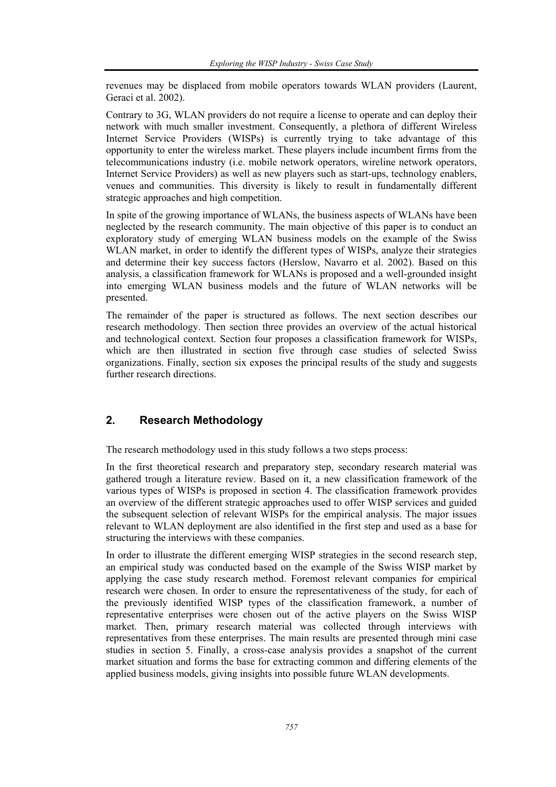revenues may be displaced from mobile operators towards WLAN providers (Laurent, Geraci et al. 2002).

Contrary to 3G, WLAN providers do not require a license to operate and can deploy their network with much smaller investment. Consequently, a plethora of different Wireless Internet Service Providers (WISPs) is currently trying to take advantage of this opportunity to enter the wireless market. These players include incumbent firms from the telecommunications industry (i.e. mobile network operators, wireline network operators, Internet Service Providers) as well as new players such as start-ups, technology enablers, venues and communities. This diversity is likely to result in fundamentally different strategic approaches and high competition.

In spite of the growing importance of WLANs, the business aspects of WLANs have been neglected by the research community. The main objective of this paper is to conduct an exploratory study of emerging WLAN business models on the example of the Swiss WLAN market, in order to identify the different types of WISPs, analyze their strategies and determine their key success factors (Herslow, Navarro et al. 2002). Based on this analysis, a classification framework for WLANs is proposed and a well-grounded insight into emerging WLAN business models and the future of WLAN networks will be presented.

The remainder of the paper is structured as follows. The next section describes our research methodology. Then section three provides an overview of the actual historical and technological context. Section four proposes a classification framework for WISPs, which are then illustrated in section five through case studies of selected Swiss organizations. Finally, section six exposes the principal results of the study and suggests further research directions.

# **2. Research Methodology**

The research methodology used in this study follows a two steps process:

In the first theoretical research and preparatory step, secondary research material was gathered trough a literature review. Based on it, a new classification framework of the various types of WISPs is proposed in section 4. The classification framework provides an overview of the different strategic approaches used to offer WISP services and guided the subsequent selection of relevant WISPs for the empirical analysis. The major issues relevant to WLAN deployment are also identified in the first step and used as a base for structuring the interviews with these companies.

In order to illustrate the different emerging WISP strategies in the second research step, an empirical study was conducted based on the example of the Swiss WISP market by applying the case study research method. Foremost relevant companies for empirical research were chosen. In order to ensure the representativeness of the study, for each of the previously identified WISP types of the classification framework, a number of representative enterprises were chosen out of the active players on the Swiss WISP market. Then, primary research material was collected through interviews with representatives from these enterprises. The main results are presented through mini case studies in section 5. Finally, a cross-case analysis provides a snapshot of the current market situation and forms the base for extracting common and differing elements of the applied business models, giving insights into possible future WLAN developments.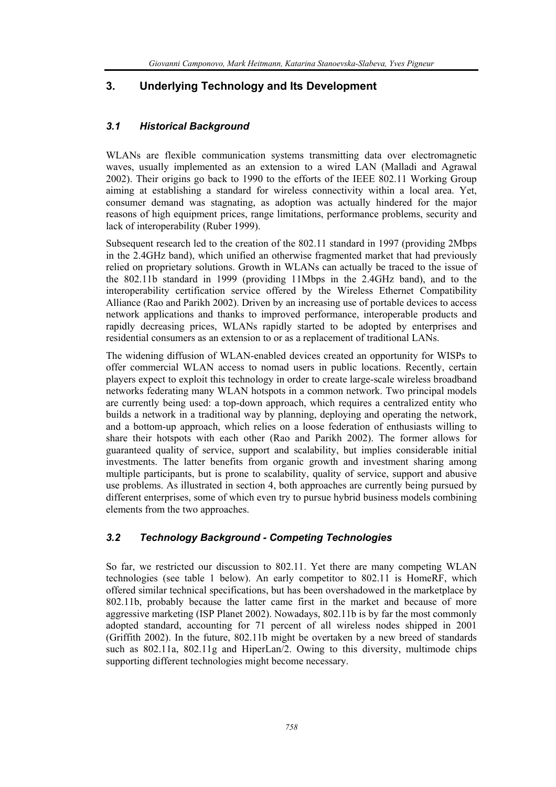# **3. Underlying Technology and Its Development**

# *3.1 Historical Background*

WLANs are flexible communication systems transmitting data over electromagnetic waves, usually implemented as an extension to a wired LAN (Malladi and Agrawal 2002). Their origins go back to 1990 to the efforts of the IEEE 802.11 Working Group aiming at establishing a standard for wireless connectivity within a local area. Yet, consumer demand was stagnating, as adoption was actually hindered for the major reasons of high equipment prices, range limitations, performance problems, security and lack of interoperability (Ruber 1999).

Subsequent research led to the creation of the 802.11 standard in 1997 (providing 2Mbps in the 2.4GHz band), which unified an otherwise fragmented market that had previously relied on proprietary solutions. Growth in WLANs can actually be traced to the issue of the 802.11b standard in 1999 (providing 11Mbps in the 2.4GHz band), and to the interoperability certification service offered by the Wireless Ethernet Compatibility Alliance (Rao and Parikh 2002). Driven by an increasing use of portable devices to access network applications and thanks to improved performance, interoperable products and rapidly decreasing prices, WLANs rapidly started to be adopted by enterprises and residential consumers as an extension to or as a replacement of traditional LANs.

The widening diffusion of WLAN-enabled devices created an opportunity for WISPs to offer commercial WLAN access to nomad users in public locations. Recently, certain players expect to exploit this technology in order to create large-scale wireless broadband networks federating many WLAN hotspots in a common network. Two principal models are currently being used: a top-down approach, which requires a centralized entity who builds a network in a traditional way by planning, deploying and operating the network, and a bottom-up approach, which relies on a loose federation of enthusiasts willing to share their hotspots with each other (Rao and Parikh 2002). The former allows for guaranteed quality of service, support and scalability, but implies considerable initial investments. The latter benefits from organic growth and investment sharing among multiple participants, but is prone to scalability, quality of service, support and abusive use problems. As illustrated in section 4, both approaches are currently being pursued by different enterprises, some of which even try to pursue hybrid business models combining elements from the two approaches.

# *3.2 Technology Background - Competing Technologies*

So far, we restricted our discussion to 802.11. Yet there are many competing WLAN technologies (see table 1 below). An early competitor to 802.11 is HomeRF, which offered similar technical specifications, but has been overshadowed in the marketplace by 802.11b, probably because the latter came first in the market and because of more aggressive marketing (ISP Planet 2002). Nowadays, 802.11b is by far the most commonly adopted standard, accounting for 71 percent of all wireless nodes shipped in 2001 (Griffith 2002). In the future, 802.11b might be overtaken by a new breed of standards such as 802.11a, 802.11g and HiperLan/2. Owing to this diversity, multimode chips supporting different technologies might become necessary.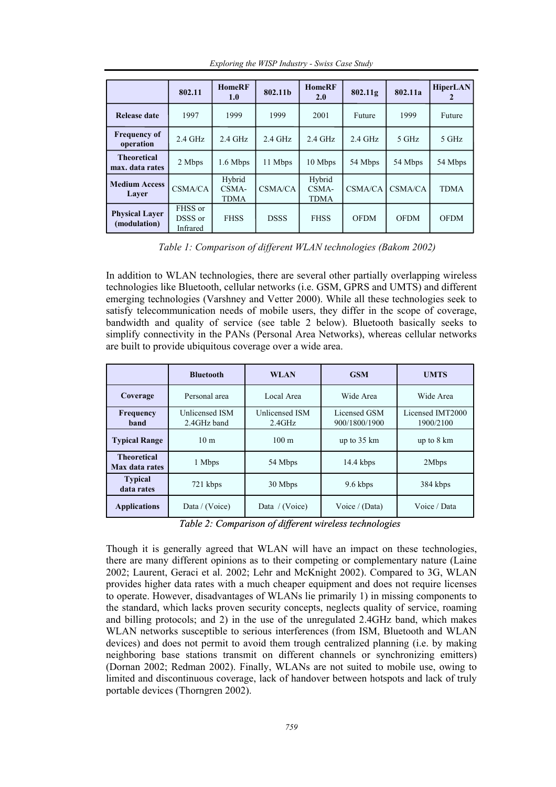|                                       | 802.11                         | <b>HomeRF</b><br>1.0           | 802.11b     | <b>HomeRF</b><br>2.0           | 802.11g     | 802.11a     | <b>HiperLAN</b><br>2 |
|---------------------------------------|--------------------------------|--------------------------------|-------------|--------------------------------|-------------|-------------|----------------------|
| Release date                          | 1997                           | 1999                           | 1999        | 2001                           | Future      | 1999        | Future               |
| <b>Frequency of</b><br>operation      | $2.4$ GHz                      | $2.4$ GHz                      | $2.4$ GHz   | $2.4$ GHz                      | $2.4$ GHz   | 5 GHz       | 5 GHz                |
| <b>Theoretical</b><br>max. data rates | 2 Mbps                         | 1.6 Mbps                       | 11 Mbps     | 10 Mbps                        | 54 Mbps     | 54 Mbps     | 54 Mbps              |
| <b>Medium Access</b><br>Laver         | CSMA/CA                        | Hybrid<br>CSMA-<br><b>TDMA</b> | CSMA/CA     | Hybrid<br>CSMA-<br><b>TDMA</b> | CSMA/CA     | CSMA/CA     | <b>TDMA</b>          |
| <b>Physical Layer</b><br>(modulation) | FHSS or<br>DSSS or<br>Infrared | <b>FHSS</b>                    | <b>DSSS</b> | <b>FHSS</b>                    | <b>OFDM</b> | <b>OFDM</b> | <b>OFDM</b>          |

*Exploring the WISP Industry - Swiss Case Study* 

*Table 1: Comparison of different WLAN technologies (Bakom 2002)*

In addition to WLAN technologies, there are several other partially overlapping wireless technologies like Bluetooth, cellular networks (i.e. GSM, GPRS and UMTS) and different emerging technologies (Varshney and Vetter 2000). While all these technologies seek to satisfy telecommunication needs of mobile users, they differ in the scope of coverage, bandwidth and quality of service (see table 2 below). Bluetooth basically seeks to simplify connectivity in the PANs (Personal Area Networks), whereas cellular networks are built to provide ubiquitous coverage over a wide area.

|                                      | <b>Bluetooth</b>              | <b>WLAN</b>              | <b>GSM</b>                    | <b>UMTS</b>                   |  |
|--------------------------------------|-------------------------------|--------------------------|-------------------------------|-------------------------------|--|
| Coverage                             | Personal area                 | Local Area               | Wide Area                     | Wide Area                     |  |
| <b>Frequency</b><br>band             | Unlicensed ISM<br>2.4GHz band | Unlicensed ISM<br>2.4GHz | Licensed GSM<br>900/1800/1900 | Licensed IMT2000<br>1900/2100 |  |
| <b>Typical Range</b>                 | 10 <sub>m</sub>               | $100 \text{ m}$          | up to 35 km                   | up to $8 \text{ km}$          |  |
| <b>Theoretical</b><br>Max data rates | 1 Mbps                        | 54 Mbps                  | $14.4$ kbps                   | 2Mbps                         |  |
| <b>Typical</b><br>data rates         | 721 kbps                      | 30 Mbps                  | 9.6 kbps                      | 384 kbps                      |  |
| <b>Applications</b>                  | Data / (Voice)                | Data / (Voice)           | Voice / (Data)                | Voice / Data                  |  |

*Table 2: Comparison of different wireless technologies*

Though it is generally agreed that WLAN will have an impact on these technologies, there are many different opinions as to their competing or complementary nature (Laine 2002; Laurent, Geraci et al. 2002; Lehr and McKnight 2002). Compared to 3G, WLAN provides higher data rates with a much cheaper equipment and does not require licenses to operate. However, disadvantages of WLANs lie primarily 1) in missing components to the standard, which lacks proven security concepts, neglects quality of service, roaming and billing protocols; and 2) in the use of the unregulated 2.4GHz band, which makes WLAN networks susceptible to serious interferences (from ISM, Bluetooth and WLAN devices) and does not permit to avoid them trough centralized planning (i.e. by making neighboring base stations transmit on different channels or synchronizing emitters) (Dornan 2002; Redman 2002). Finally, WLANs are not suited to mobile use, owing to limited and discontinuous coverage, lack of handover between hotspots and lack of truly portable devices (Thorngren 2002).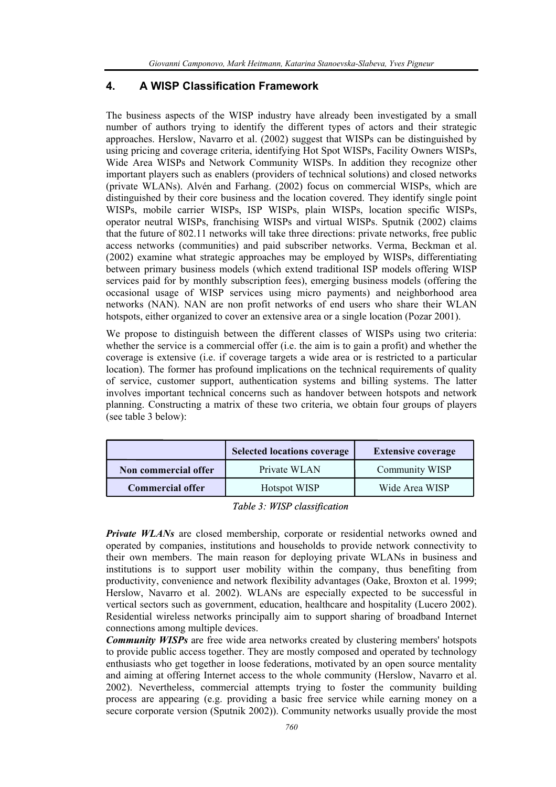# **4. A WISP Classification Framework**

The business aspects of the WISP industry have already been investigated by a small number of authors trying to identify the different types of actors and their strategic approaches. Herslow, Navarro et al. (2002) suggest that WISPs can be distinguished by using pricing and coverage criteria, identifying Hot Spot WISPs, Facility Owners WISPs, Wide Area WISPs and Network Community WISPs. In addition they recognize other important players such as enablers (providers of technical solutions) and closed networks (private WLANs). Alvén and Farhang. (2002) focus on commercial WISPs, which are distinguished by their core business and the location covered. They identify single point WISPs, mobile carrier WISPs, ISP WISPs, plain WISPs, location specific WISPs, operator neutral WISPs, franchising WISPs and virtual WISPs. Sputnik (2002) claims that the future of 802.11 networks will take three directions: private networks, free public access networks (communities) and paid subscriber networks. Verma, Beckman et al. (2002) examine what strategic approaches may be employed by WISPs, differentiating between primary business models (which extend traditional ISP models offering WISP services paid for by monthly subscription fees), emerging business models (offering the occasional usage of WISP services using micro payments) and neighborhood area networks (NAN). NAN are non profit networks of end users who share their WLAN hotspots, either organized to cover an extensive area or a single location (Pozar 2001).

We propose to distinguish between the different classes of WISPs using two criteria: whether the service is a commercial offer (i.e. the aim is to gain a profit) and whether the coverage is extensive (i.e. if coverage targets a wide area or is restricted to a particular location). The former has profound implications on the technical requirements of quality of service, customer support, authentication systems and billing systems. The latter involves important technical concerns such as handover between hotspots and network planning. Constructing a matrix of these two criteria, we obtain four groups of players (see table 3 below):

|                         | <b>Selected locations coverage</b> | <b>Extensive coverage</b> |
|-------------------------|------------------------------------|---------------------------|
| Non commercial offer    | Private WLAN                       | Community WISP            |
| <b>Commercial offer</b> | Hotspot WISP                       | Wide Area WISP            |

*Table 3: WISP classification*

*Private WLANs* are closed membership, corporate or residential networks owned and operated by companies, institutions and households to provide network connectivity to their own members. The main reason for deploying private WLANs in business and institutions is to support user mobility within the company, thus benefiting from productivity, convenience and network flexibility advantages (Oake, Broxton et al. 1999; Herslow, Navarro et al. 2002). WLANs are especially expected to be successful in vertical sectors such as government, education, healthcare and hospitality (Lucero 2002). Residential wireless networks principally aim to support sharing of broadband Internet connections among multiple devices.

*Community WISPs* are free wide area networks created by clustering members' hotspots to provide public access together. They are mostly composed and operated by technology enthusiasts who get together in loose federations, motivated by an open source mentality and aiming at offering Internet access to the whole community (Herslow, Navarro et al. 2002). Nevertheless, commercial attempts trying to foster the community building process are appearing (e.g. providing a basic free service while earning money on a secure corporate version (Sputnik 2002)). Community networks usually provide the most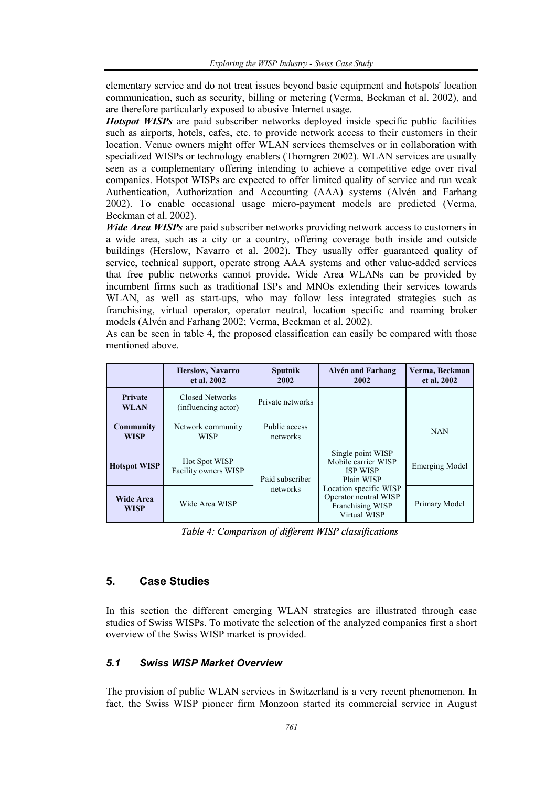elementary service and do not treat issues beyond basic equipment and hotspots' location communication, such as security, billing or metering (Verma, Beckman et al. 2002), and are therefore particularly exposed to abusive Internet usage.

*Hotspot WISPs* are paid subscriber networks deployed inside specific public facilities such as airports, hotels, cafes, etc. to provide network access to their customers in their location. Venue owners might offer WLAN services themselves or in collaboration with specialized WISPs or technology enablers (Thorngren 2002). WLAN services are usually seen as a complementary offering intending to achieve a competitive edge over rival companies. Hotspot WISPs are expected to offer limited quality of service and run weak Authentication, Authorization and Accounting (AAA) systems (Alvén and Farhang 2002). To enable occasional usage micro-payment models are predicted (Verma, Beckman et al. 2002).

*Wide Area WISPs* are paid subscriber networks providing network access to customers in a wide area, such as a city or a country, offering coverage both inside and outside buildings (Herslow, Navarro et al. 2002). They usually offer guaranteed quality of service, technical support, operate strong AAA systems and other value-added services that free public networks cannot provide. Wide Area WLANs can be provided by incumbent firms such as traditional ISPs and MNOs extending their services towards WLAN, as well as start-ups, who may follow less integrated strategies such as franchising, virtual operator, operator neutral, location specific and roaming broker models (Alvén and Farhang 2002; Verma, Beckman et al. 2002).

As can be seen in table 4, the proposed classification can easily be compared with those mentioned above.

|                                 | <b>Herslow, Navarro</b><br>et al. 2002       | <b>Sputnik</b><br>2002    | <b>Alvén and Farhang</b><br>2002                                                    | Verma, Beckman<br>et al. 2002 |
|---------------------------------|----------------------------------------------|---------------------------|-------------------------------------------------------------------------------------|-------------------------------|
| <b>Private</b><br><b>WLAN</b>   | Closed Networks<br>(influencing actor)       | Private networks          |                                                                                     |                               |
| <b>Community</b><br><b>WISP</b> | Network community<br><b>WISP</b>             | Public access<br>networks |                                                                                     | <b>NAN</b>                    |
| <b>Hotspot WISP</b>             | <b>Hot Spot WISP</b><br>Facility owners WISP | Paid subscriber           | Single point WISP<br>Mobile carrier WISP<br><b>ISP WISP</b><br>Plain WISP           | <b>Emerging Model</b>         |
| <b>Wide Area</b><br><b>WISP</b> | Wide Area WISP                               | networks                  | Location specific WISP<br>Operator neutral WISP<br>Franchising WISP<br>Virtual WISP | Primary Model                 |

*Table 4: Comparison of different WISP classifications*

## **5. Case Studies**

In this section the different emerging WLAN strategies are illustrated through case studies of Swiss WISPs. To motivate the selection of the analyzed companies first a short overview of the Swiss WISP market is provided.

## *5.1 Swiss WISP Market Overview*

The provision of public WLAN services in Switzerland is a very recent phenomenon. In fact, the Swiss WISP pioneer firm Monzoon started its commercial service in August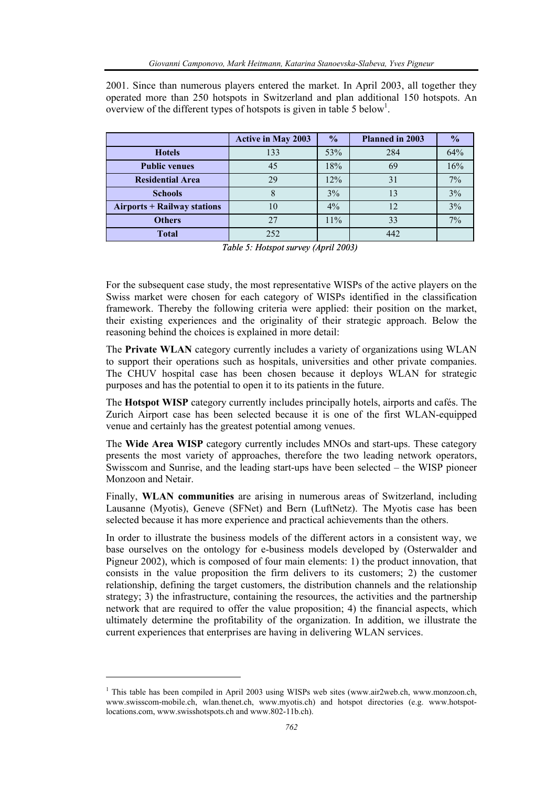2001. Since than numerous players entered the market. In April 2003, all together they operated more than 250 hotspots in Switzerland and plan additional 150 hotspots. An overview of the different types of hotspots is given in table 5 below<sup>1</sup>.

|                                    | <b>Active in May 2003</b> | $\frac{0}{0}$ | <b>Planned in 2003</b> | $\frac{1}{2}$ |
|------------------------------------|---------------------------|---------------|------------------------|---------------|
| <b>Hotels</b>                      | 133                       | 53%           | 284                    | 64%           |
| <b>Public venues</b>               | 45                        | 18%           | 69                     | 16%           |
| <b>Residential Area</b>            | 29                        | 12%           | 31                     | 7%            |
| <b>Schools</b>                     | Ô                         | 3%            | 13                     | 3%            |
| <b>Airports + Railway stations</b> | 10                        | $4\%$         | 12                     | 3%            |
| <b>Others</b>                      | 27                        | $11\%$        | 33                     | 7%            |
| <b>Total</b>                       | 252                       |               | 442                    |               |

*Table 5: Hotspot survey (April 2003)*

For the subsequent case study, the most representative WISPs of the active players on the Swiss market were chosen for each category of WISPs identified in the classification framework. Thereby the following criteria were applied: their position on the market, their existing experiences and the originality of their strategic approach. Below the reasoning behind the choices is explained in more detail:

The **Private WLAN** category currently includes a variety of organizations using WLAN to support their operations such as hospitals, universities and other private companies. The CHUV hospital case has been chosen because it deploys WLAN for strategic purposes and has the potential to open it to its patients in the future.

The **Hotspot WISP** category currently includes principally hotels, airports and cafés. The Zurich Airport case has been selected because it is one of the first WLAN-equipped venue and certainly has the greatest potential among venues.

The **Wide Area WISP** category currently includes MNOs and start-ups. These category presents the most variety of approaches, therefore the two leading network operators, Swisscom and Sunrise, and the leading start-ups have been selected – the WISP pioneer Monzoon and Netair.

Finally, **WLAN communities** are arising in numerous areas of Switzerland, including Lausanne (Myotis), Geneve (SFNet) and Bern (LuftNetz). The Myotis case has been selected because it has more experience and practical achievements than the others.

In order to illustrate the business models of the different actors in a consistent way, we base ourselves on the ontology for e-business models developed by (Osterwalder and Pigneur 2002), which is composed of four main elements: 1) the product innovation, that consists in the value proposition the firm delivers to its customers; 2) the customer relationship, defining the target customers, the distribution channels and the relationship strategy; 3) the infrastructure, containing the resources, the activities and the partnership network that are required to offer the value proposition; 4) the financial aspects, which ultimately determine the profitability of the organization. In addition, we illustrate the current experiences that enterprises are having in delivering WLAN services.

l

<sup>&</sup>lt;sup>1</sup> This table has been compiled in April 2003 using WISPs web sites (www.air2web.ch, www.monzoon.ch, www.swisscom-mobile.ch, wlan.thenet.ch, www.myotis.ch) and hotspot directories (e.g. www.hotspotlocations.com, www.swisshotspots.ch and www.802-11b.ch).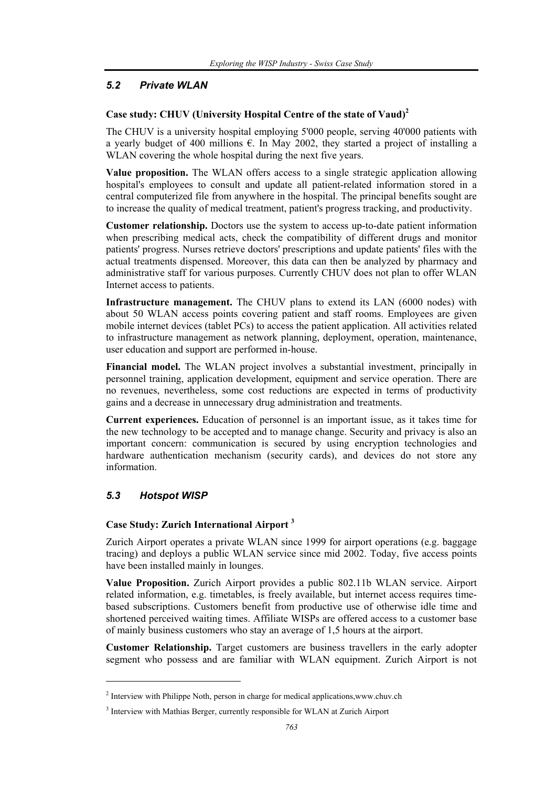## *5.2 Private WLAN*

# **Case study: CHUV (University Hospital Centre of the state of Vaud)<sup>2</sup>**

The CHUV is a university hospital employing 5'000 people, serving 40'000 patients with a yearly budget of 400 millions  $\epsilon$ . In May 2002, they started a project of installing a WLAN covering the whole hospital during the next five years.

**Value proposition.** The WLAN offers access to a single strategic application allowing hospital's employees to consult and update all patient-related information stored in a central computerized file from anywhere in the hospital. The principal benefits sought are to increase the quality of medical treatment, patient's progress tracking, and productivity.

**Customer relationship.** Doctors use the system to access up-to-date patient information when prescribing medical acts, check the compatibility of different drugs and monitor patients' progress. Nurses retrieve doctors' prescriptions and update patients' files with the actual treatments dispensed. Moreover, this data can then be analyzed by pharmacy and administrative staff for various purposes. Currently CHUV does not plan to offer WLAN Internet access to patients.

**Infrastructure management.** The CHUV plans to extend its LAN (6000 nodes) with about 50 WLAN access points covering patient and staff rooms. Employees are given mobile internet devices (tablet PCs) to access the patient application. All activities related to infrastructure management as network planning, deployment, operation, maintenance, user education and support are performed in-house.

**Financial model.** The WLAN project involves a substantial investment, principally in personnel training, application development, equipment and service operation. There are no revenues, nevertheless, some cost reductions are expected in terms of productivity gains and a decrease in unnecessary drug administration and treatments.

**Current experiences.** Education of personnel is an important issue, as it takes time for the new technology to be accepted and to manage change. Security and privacy is also an important concern: communication is secured by using encryption technologies and hardware authentication mechanism (security cards), and devices do not store any information.

# *5.3 Hotspot WISP*

l

## **Case Study: Zurich International Airport <sup>3</sup>**

Zurich Airport operates a private WLAN since 1999 for airport operations (e.g. baggage tracing) and deploys a public WLAN service since mid 2002. Today, five access points have been installed mainly in lounges.

**Value Proposition.** Zurich Airport provides a public 802.11b WLAN service. Airport related information, e.g. timetables, is freely available, but internet access requires timebased subscriptions. Customers benefit from productive use of otherwise idle time and shortened perceived waiting times. Affiliate WISPs are offered access to a customer base of mainly business customers who stay an average of 1,5 hours at the airport.

**Customer Relationship.** Target customers are business travellers in the early adopter segment who possess and are familiar with WLAN equipment. Zurich Airport is not

 $2$  Interview with Philippe Noth, person in charge for medical applications, www.chuv.ch

<sup>&</sup>lt;sup>3</sup> Interview with Mathias Berger, currently responsible for WLAN at Zurich Airport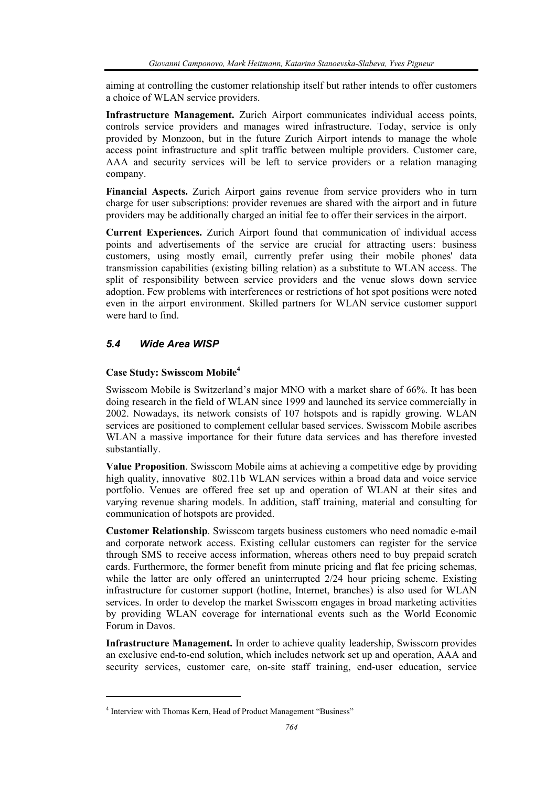aiming at controlling the customer relationship itself but rather intends to offer customers a choice of WLAN service providers.

**Infrastructure Management.** Zurich Airport communicates individual access points, controls service providers and manages wired infrastructure. Today, service is only provided by Monzoon, but in the future Zurich Airport intends to manage the whole access point infrastructure and split traffic between multiple providers. Customer care, AAA and security services will be left to service providers or a relation managing company.

**Financial Aspects.** Zurich Airport gains revenue from service providers who in turn charge for user subscriptions: provider revenues are shared with the airport and in future providers may be additionally charged an initial fee to offer their services in the airport.

**Current Experiences.** Zurich Airport found that communication of individual access points and advertisements of the service are crucial for attracting users: business customers, using mostly email, currently prefer using their mobile phones' data transmission capabilities (existing billing relation) as a substitute to WLAN access. The split of responsibility between service providers and the venue slows down service adoption. Few problems with interferences or restrictions of hot spot positions were noted even in the airport environment. Skilled partners for WLAN service customer support were hard to find.

## *5.4 Wide Area WISP*

#### **Case Study: Swisscom Mobile<sup>4</sup>**

Swisscom Mobile is Switzerland's major MNO with a market share of 66%. It has been doing research in the field of WLAN since 1999 and launched its service commercially in 2002. Nowadays, its network consists of 107 hotspots and is rapidly growing. WLAN services are positioned to complement cellular based services. Swisscom Mobile ascribes WLAN a massive importance for their future data services and has therefore invested substantially.

**Value Proposition**. Swisscom Mobile aims at achieving a competitive edge by providing high quality, innovative 802.11b WLAN services within a broad data and voice service portfolio. Venues are offered free set up and operation of WLAN at their sites and varying revenue sharing models. In addition, staff training, material and consulting for communication of hotspots are provided.

**Customer Relationship**. Swisscom targets business customers who need nomadic e-mail and corporate network access. Existing cellular customers can register for the service through SMS to receive access information, whereas others need to buy prepaid scratch cards. Furthermore, the former benefit from minute pricing and flat fee pricing schemas, while the latter are only offered an uninterrupted  $2/24$  hour pricing scheme. Existing infrastructure for customer support (hotline, Internet, branches) is also used for WLAN services. In order to develop the market Swisscom engages in broad marketing activities by providing WLAN coverage for international events such as the World Economic Forum in Davos.

**Infrastructure Management.** In order to achieve quality leadership, Swisscom provides an exclusive end-to-end solution, which includes network set up and operation, AAA and security services, customer care, on-site staff training, end-user education, service

l

<sup>&</sup>lt;sup>4</sup> Interview with Thomas Kern, Head of Product Management "Business"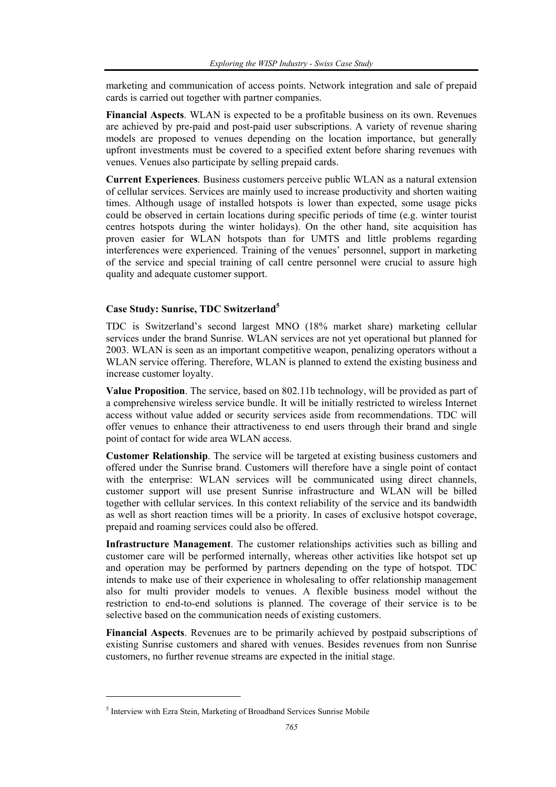marketing and communication of access points. Network integration and sale of prepaid cards is carried out together with partner companies.

**Financial Aspects**. WLAN is expected to be a profitable business on its own. Revenues are achieved by pre-paid and post-paid user subscriptions. A variety of revenue sharing models are proposed to venues depending on the location importance, but generally upfront investments must be covered to a specified extent before sharing revenues with venues. Venues also participate by selling prepaid cards.

**Current Experiences**. Business customers perceive public WLAN as a natural extension of cellular services. Services are mainly used to increase productivity and shorten waiting times. Although usage of installed hotspots is lower than expected, some usage picks could be observed in certain locations during specific periods of time (e.g. winter tourist centres hotspots during the winter holidays). On the other hand, site acquisition has proven easier for WLAN hotspots than for UMTS and little problems regarding interferences were experienced. Training of the venues' personnel, support in marketing of the service and special training of call centre personnel were crucial to assure high quality and adequate customer support.

## **Case Study: Sunrise, TDC Switzerland<sup>5</sup>**

TDC is Switzerland's second largest MNO (18% market share) marketing cellular services under the brand Sunrise. WLAN services are not yet operational but planned for 2003. WLAN is seen as an important competitive weapon, penalizing operators without a WLAN service offering. Therefore, WLAN is planned to extend the existing business and increase customer loyalty.

**Value Proposition**. The service, based on 802.11b technology, will be provided as part of a comprehensive wireless service bundle. It will be initially restricted to wireless Internet access without value added or security services aside from recommendations. TDC will offer venues to enhance their attractiveness to end users through their brand and single point of contact for wide area WLAN access.

**Customer Relationship**. The service will be targeted at existing business customers and offered under the Sunrise brand. Customers will therefore have a single point of contact with the enterprise: WLAN services will be communicated using direct channels, customer support will use present Sunrise infrastructure and WLAN will be billed together with cellular services. In this context reliability of the service and its bandwidth as well as short reaction times will be a priority. In cases of exclusive hotspot coverage, prepaid and roaming services could also be offered.

**Infrastructure Management**. The customer relationships activities such as billing and customer care will be performed internally, whereas other activities like hotspot set up and operation may be performed by partners depending on the type of hotspot. TDC intends to make use of their experience in wholesaling to offer relationship management also for multi provider models to venues. A flexible business model without the restriction to end-to-end solutions is planned. The coverage of their service is to be selective based on the communication needs of existing customers.

**Financial Aspects**. Revenues are to be primarily achieved by postpaid subscriptions of existing Sunrise customers and shared with venues. Besides revenues from non Sunrise customers, no further revenue streams are expected in the initial stage.

l

<sup>&</sup>lt;sup>5</sup> Interview with Ezra Stein, Marketing of Broadband Services Sunrise Mobile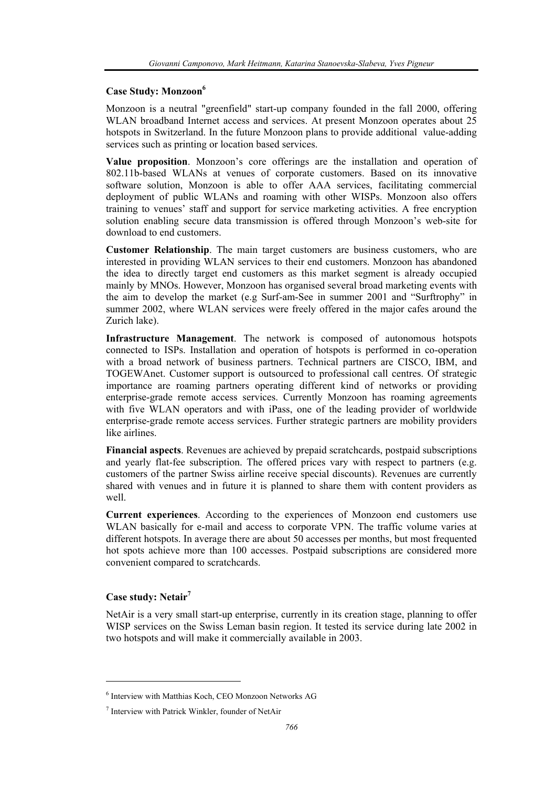#### **Case Study: Monzoon<sup>6</sup>**

Monzoon is a neutral "greenfield" start-up company founded in the fall 2000, offering WLAN broadband Internet access and services. At present Monzoon operates about 25 hotspots in Switzerland. In the future Monzoon plans to provide additional value-adding services such as printing or location based services.

**Value proposition**. Monzoon's core offerings are the installation and operation of 802.11b-based WLANs at venues of corporate customers. Based on its innovative software solution, Monzoon is able to offer AAA services, facilitating commercial deployment of public WLANs and roaming with other WISPs. Monzoon also offers training to venues' staff and support for service marketing activities. A free encryption solution enabling secure data transmission is offered through Monzoon's web-site for download to end customers.

**Customer Relationship**. The main target customers are business customers, who are interested in providing WLAN services to their end customers. Monzoon has abandoned the idea to directly target end customers as this market segment is already occupied mainly by MNOs. However, Monzoon has organised several broad marketing events with the aim to develop the market (e.g Surf-am-See in summer 2001 and "Surftrophy" in summer 2002, where WLAN services were freely offered in the major cafes around the Zurich lake).

**Infrastructure Management**. The network is composed of autonomous hotspots connected to ISPs. Installation and operation of hotspots is performed in co-operation with a broad network of business partners. Technical partners are CISCO, IBM, and TOGEWAnet. Customer support is outsourced to professional call centres. Of strategic importance are roaming partners operating different kind of networks or providing enterprise-grade remote access services. Currently Monzoon has roaming agreements with five WLAN operators and with iPass, one of the leading provider of worldwide enterprise-grade remote access services. Further strategic partners are mobility providers like airlines.

**Financial aspects**. Revenues are achieved by prepaid scratchcards, postpaid subscriptions and yearly flat-fee subscription. The offered prices vary with respect to partners (e.g. customers of the partner Swiss airline receive special discounts). Revenues are currently shared with venues and in future it is planned to share them with content providers as well.

**Current experiences**. According to the experiences of Monzoon end customers use WLAN basically for e-mail and access to corporate VPN. The traffic volume varies at different hotspots. In average there are about 50 accesses per months, but most frequented hot spots achieve more than 100 accesses. Postpaid subscriptions are considered more convenient compared to scratchcards.

#### **Case study: Netair<sup>7</sup>**

l

NetAir is a very small start-up enterprise, currently in its creation stage, planning to offer WISP services on the Swiss Leman basin region. It tested its service during late 2002 in two hotspots and will make it commercially available in 2003.

<sup>6</sup> Interview with Matthias Koch, CEO Monzoon Networks AG

<sup>7</sup> Interview with Patrick Winkler, founder of NetAir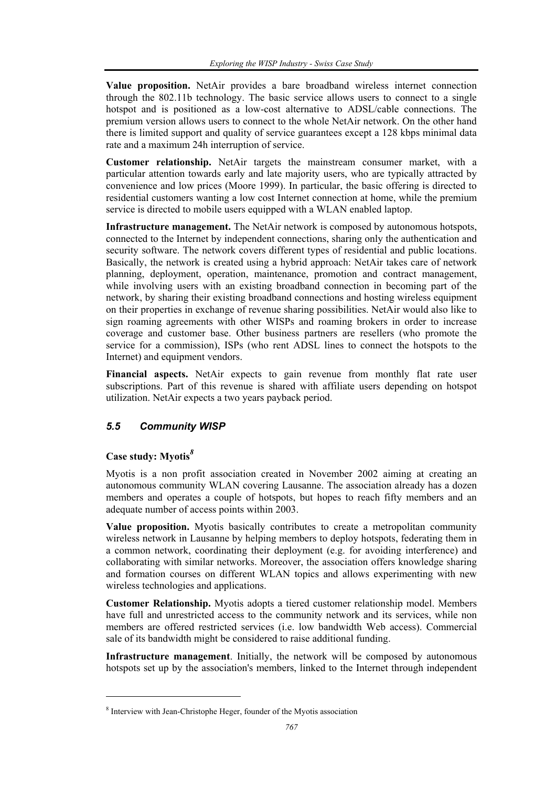**Value proposition.** NetAir provides a bare broadband wireless internet connection through the 802.11b technology. The basic service allows users to connect to a single hotspot and is positioned as a low-cost alternative to ADSL/cable connections. The premium version allows users to connect to the whole NetAir network. On the other hand there is limited support and quality of service guarantees except a 128 kbps minimal data rate and a maximum 24h interruption of service.

**Customer relationship.** NetAir targets the mainstream consumer market, with a particular attention towards early and late majority users, who are typically attracted by convenience and low prices (Moore 1999). In particular, the basic offering is directed to residential customers wanting a low cost Internet connection at home, while the premium service is directed to mobile users equipped with a WLAN enabled laptop.

**Infrastructure management.** The NetAir network is composed by autonomous hotspots, connected to the Internet by independent connections, sharing only the authentication and security software. The network covers different types of residential and public locations. Basically, the network is created using a hybrid approach: NetAir takes care of network planning, deployment, operation, maintenance, promotion and contract management, while involving users with an existing broadband connection in becoming part of the network, by sharing their existing broadband connections and hosting wireless equipment on their properties in exchange of revenue sharing possibilities. NetAir would also like to sign roaming agreements with other WISPs and roaming brokers in order to increase coverage and customer base. Other business partners are resellers (who promote the service for a commission), ISPs (who rent ADSL lines to connect the hotspots to the Internet) and equipment vendors.

**Financial aspects.** NetAir expects to gain revenue from monthly flat rate user subscriptions. Part of this revenue is shared with affiliate users depending on hotspot utilization. NetAir expects a two years payback period.

## *5.5 Community WISP*

# **Case study: Myotis***<sup>8</sup>*

l

Myotis is a non profit association created in November 2002 aiming at creating an autonomous community WLAN covering Lausanne. The association already has a dozen members and operates a couple of hotspots, but hopes to reach fifty members and an adequate number of access points within 2003.

**Value proposition.** Myotis basically contributes to create a metropolitan community wireless network in Lausanne by helping members to deploy hotspots, federating them in a common network, coordinating their deployment (e.g. for avoiding interference) and collaborating with similar networks. Moreover, the association offers knowledge sharing and formation courses on different WLAN topics and allows experimenting with new wireless technologies and applications.

**Customer Relationship.** Myotis adopts a tiered customer relationship model. Members have full and unrestricted access to the community network and its services, while non members are offered restricted services (i.e. low bandwidth Web access). Commercial sale of its bandwidth might be considered to raise additional funding.

**Infrastructure management**. Initially, the network will be composed by autonomous hotspots set up by the association's members, linked to the Internet through independent

<sup>&</sup>lt;sup>8</sup> Interview with Jean-Christophe Heger, founder of the Myotis association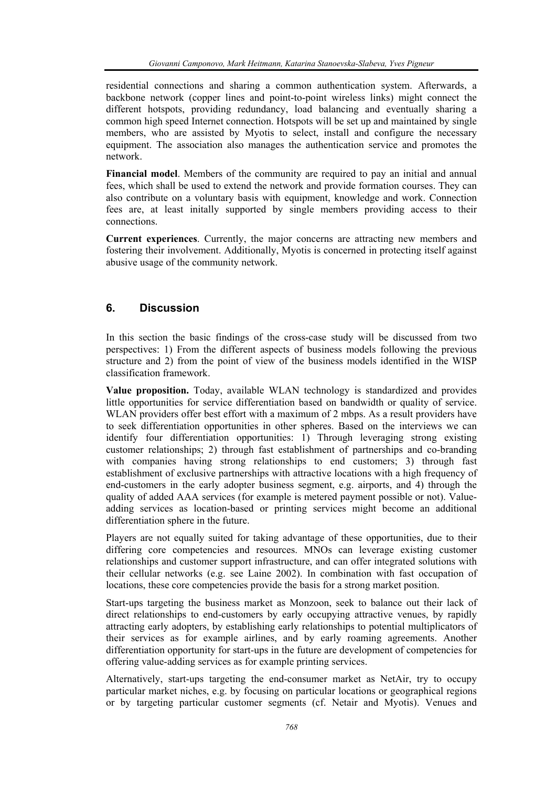residential connections and sharing a common authentication system. Afterwards, a backbone network (copper lines and point-to-point wireless links) might connect the different hotspots, providing redundancy, load balancing and eventually sharing a common high speed Internet connection. Hotspots will be set up and maintained by single members, who are assisted by Myotis to select, install and configure the necessary equipment. The association also manages the authentication service and promotes the network.

**Financial model**. Members of the community are required to pay an initial and annual fees, which shall be used to extend the network and provide formation courses. They can also contribute on a voluntary basis with equipment, knowledge and work. Connection fees are, at least initally supported by single members providing access to their connections.

**Current experiences**. Currently, the major concerns are attracting new members and fostering their involvement. Additionally, Myotis is concerned in protecting itself against abusive usage of the community network.

# **6. Discussion**

In this section the basic findings of the cross-case study will be discussed from two perspectives: 1) From the different aspects of business models following the previous structure and 2) from the point of view of the business models identified in the WISP classification framework.

**Value proposition.** Today, available WLAN technology is standardized and provides little opportunities for service differentiation based on bandwidth or quality of service. WLAN providers offer best effort with a maximum of 2 mbps. As a result providers have to seek differentiation opportunities in other spheres. Based on the interviews we can identify four differentiation opportunities: 1) Through leveraging strong existing customer relationships; 2) through fast establishment of partnerships and co-branding with companies having strong relationships to end customers; 3) through fast establishment of exclusive partnerships with attractive locations with a high frequency of end-customers in the early adopter business segment, e.g. airports, and 4) through the quality of added AAA services (for example is metered payment possible or not). Valueadding services as location-based or printing services might become an additional differentiation sphere in the future.

Players are not equally suited for taking advantage of these opportunities, due to their differing core competencies and resources. MNOs can leverage existing customer relationships and customer support infrastructure, and can offer integrated solutions with their cellular networks (e.g. see Laine 2002). In combination with fast occupation of locations, these core competencies provide the basis for a strong market position.

Start-ups targeting the business market as Monzoon, seek to balance out their lack of direct relationships to end-customers by early occupying attractive venues, by rapidly attracting early adopters, by establishing early relationships to potential multiplicators of their services as for example airlines, and by early roaming agreements. Another differentiation opportunity for start-ups in the future are development of competencies for offering value-adding services as for example printing services.

Alternatively, start-ups targeting the end-consumer market as NetAir, try to occupy particular market niches, e.g. by focusing on particular locations or geographical regions or by targeting particular customer segments (cf. Netair and Myotis). Venues and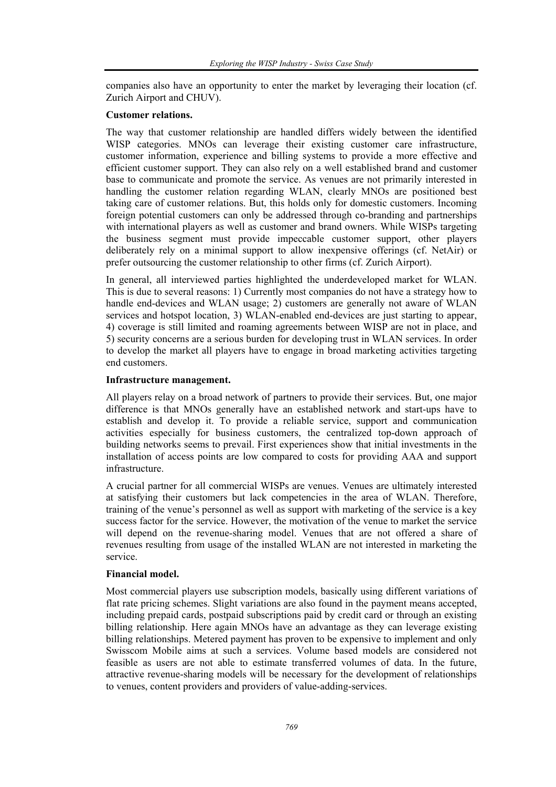companies also have an opportunity to enter the market by leveraging their location (cf. Zurich Airport and CHUV).

#### **Customer relations.**

The way that customer relationship are handled differs widely between the identified WISP categories. MNOs can leverage their existing customer care infrastructure, customer information, experience and billing systems to provide a more effective and efficient customer support. They can also rely on a well established brand and customer base to communicate and promote the service. As venues are not primarily interested in handling the customer relation regarding WLAN, clearly MNOs are positioned best taking care of customer relations. But, this holds only for domestic customers. Incoming foreign potential customers can only be addressed through co-branding and partnerships with international players as well as customer and brand owners. While WISPs targeting the business segment must provide impeccable customer support, other players deliberately rely on a minimal support to allow inexpensive offerings (cf. NetAir) or prefer outsourcing the customer relationship to other firms (cf. Zurich Airport).

In general, all interviewed parties highlighted the underdeveloped market for WLAN. This is due to several reasons: 1) Currently most companies do not have a strategy how to handle end-devices and WLAN usage; 2) customers are generally not aware of WLAN services and hotspot location, 3) WLAN-enabled end-devices are just starting to appear, 4) coverage is still limited and roaming agreements between WISP are not in place, and 5) security concerns are a serious burden for developing trust in WLAN services. In order to develop the market all players have to engage in broad marketing activities targeting end customers.

## **Infrastructure management.**

All players relay on a broad network of partners to provide their services. But, one major difference is that MNOs generally have an established network and start-ups have to establish and develop it. To provide a reliable service, support and communication activities especially for business customers, the centralized top-down approach of building networks seems to prevail. First experiences show that initial investments in the installation of access points are low compared to costs for providing AAA and support infrastructure.

A crucial partner for all commercial WISPs are venues. Venues are ultimately interested at satisfying their customers but lack competencies in the area of WLAN. Therefore, training of the venue's personnel as well as support with marketing of the service is a key success factor for the service. However, the motivation of the venue to market the service will depend on the revenue-sharing model. Venues that are not offered a share of revenues resulting from usage of the installed WLAN are not interested in marketing the service.

## **Financial model.**

Most commercial players use subscription models, basically using different variations of flat rate pricing schemes. Slight variations are also found in the payment means accepted, including prepaid cards, postpaid subscriptions paid by credit card or through an existing billing relationship. Here again MNOs have an advantage as they can leverage existing billing relationships. Metered payment has proven to be expensive to implement and only Swisscom Mobile aims at such a services. Volume based models are considered not feasible as users are not able to estimate transferred volumes of data. In the future, attractive revenue-sharing models will be necessary for the development of relationships to venues, content providers and providers of value-adding-services.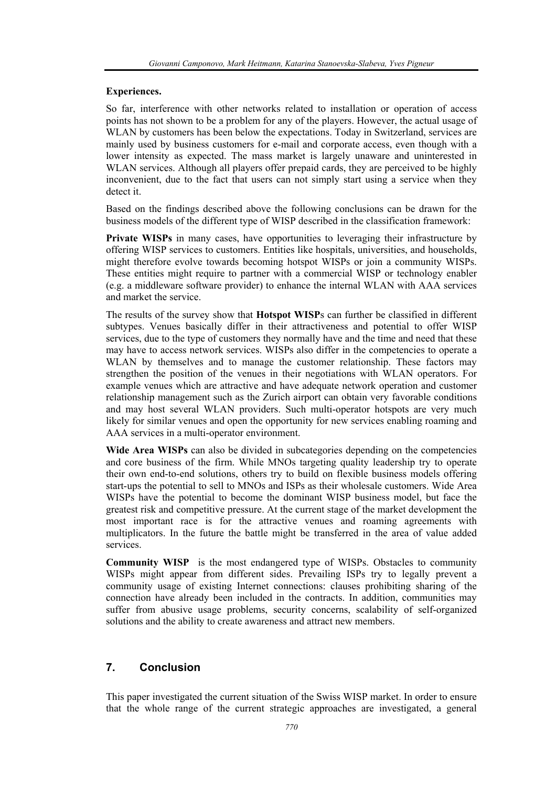#### **Experiences.**

So far, interference with other networks related to installation or operation of access points has not shown to be a problem for any of the players. However, the actual usage of WLAN by customers has been below the expectations. Today in Switzerland, services are mainly used by business customers for e-mail and corporate access, even though with a lower intensity as expected. The mass market is largely unaware and uninterested in WLAN services. Although all players offer prepaid cards, they are perceived to be highly inconvenient, due to the fact that users can not simply start using a service when they detect it.

Based on the findings described above the following conclusions can be drawn for the business models of the different type of WISP described in the classification framework:

**Private WISPs** in many cases, have opportunities to leveraging their infrastructure by offering WISP services to customers. Entities like hospitals, universities, and households, might therefore evolve towards becoming hotspot WISPs or join a community WISPs. These entities might require to partner with a commercial WISP or technology enabler (e.g. a middleware software provider) to enhance the internal WLAN with AAA services and market the service.

The results of the survey show that **Hotspot WISP**s can further be classified in different subtypes. Venues basically differ in their attractiveness and potential to offer WISP services, due to the type of customers they normally have and the time and need that these may have to access network services. WISPs also differ in the competencies to operate a WLAN by themselves and to manage the customer relationship. These factors may strengthen the position of the venues in their negotiations with WLAN operators. For example venues which are attractive and have adequate network operation and customer relationship management such as the Zurich airport can obtain very favorable conditions and may host several WLAN providers. Such multi-operator hotspots are very much likely for similar venues and open the opportunity for new services enabling roaming and AAA services in a multi-operator environment.

**Wide Area WISPs** can also be divided in subcategories depending on the competencies and core business of the firm. While MNOs targeting quality leadership try to operate their own end-to-end solutions, others try to build on flexible business models offering start-ups the potential to sell to MNOs and ISPs as their wholesale customers. Wide Area WISPs have the potential to become the dominant WISP business model, but face the greatest risk and competitive pressure. At the current stage of the market development the most important race is for the attractive venues and roaming agreements with multiplicators. In the future the battle might be transferred in the area of value added services.

**Community WISP** is the most endangered type of WISPs. Obstacles to community WISPs might appear from different sides. Prevailing ISPs try to legally prevent a community usage of existing Internet connections: clauses prohibiting sharing of the connection have already been included in the contracts. In addition, communities may suffer from abusive usage problems, security concerns, scalability of self-organized solutions and the ability to create awareness and attract new members.

## **7. Conclusion**

This paper investigated the current situation of the Swiss WISP market. In order to ensure that the whole range of the current strategic approaches are investigated, a general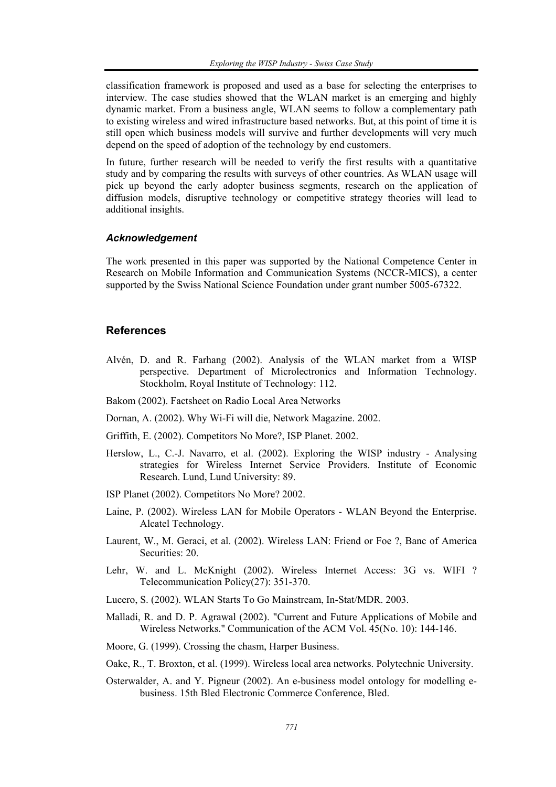classification framework is proposed and used as a base for selecting the enterprises to interview. The case studies showed that the WLAN market is an emerging and highly dynamic market. From a business angle, WLAN seems to follow a complementary path to existing wireless and wired infrastructure based networks. But, at this point of time it is still open which business models will survive and further developments will very much depend on the speed of adoption of the technology by end customers.

In future, further research will be needed to verify the first results with a quantitative study and by comparing the results with surveys of other countries. As WLAN usage will pick up beyond the early adopter business segments, research on the application of diffusion models, disruptive technology or competitive strategy theories will lead to additional insights.

#### *Acknowledgement*

The work presented in this paper was supported by the National Competence Center in Research on Mobile Information and Communication Systems (NCCR-MICS), a center supported by the Swiss National Science Foundation under grant number 5005-67322.

#### **References**

- Alvén, D. and R. Farhang (2002). Analysis of the WLAN market from a WISP perspective. Department of Microlectronics and Information Technology. Stockholm, Royal Institute of Technology: 112.
- Bakom (2002). Factsheet on Radio Local Area Networks
- Dornan, A. (2002). Why Wi-Fi will die, Network Magazine. 2002.
- Griffith, E. (2002). Competitors No More?, ISP Planet. 2002.
- Herslow, L., C.-J. Navarro, et al. (2002). Exploring the WISP industry Analysing strategies for Wireless Internet Service Providers. Institute of Economic Research. Lund, Lund University: 89.
- ISP Planet (2002). Competitors No More? 2002.
- Laine, P. (2002). Wireless LAN for Mobile Operators WLAN Beyond the Enterprise. Alcatel Technology.
- Laurent, W., M. Geraci, et al. (2002). Wireless LAN: Friend or Foe ?, Banc of America Securities: 20.
- Lehr, W. and L. McKnight (2002). Wireless Internet Access: 3G vs. WIFI ? Telecommunication Policy(27): 351-370.
- Lucero, S. (2002). WLAN Starts To Go Mainstream, In-Stat/MDR. 2003.
- Malladi, R. and D. P. Agrawal (2002). "Current and Future Applications of Mobile and Wireless Networks." Communication of the ACM Vol. 45(No. 10): 144-146.
- Moore, G. (1999). Crossing the chasm, Harper Business.
- Oake, R., T. Broxton, et al. (1999). Wireless local area networks. Polytechnic University.
- Osterwalder, A. and Y. Pigneur (2002). An e-business model ontology for modelling ebusiness. 15th Bled Electronic Commerce Conference, Bled.